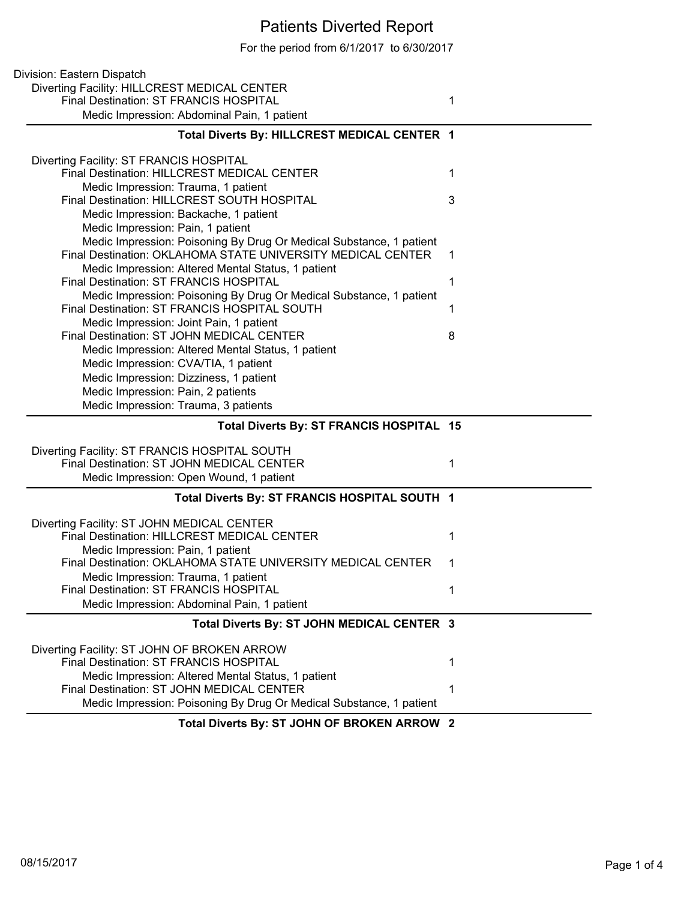## Patients Diverted Report

For the period from 6/1/2017 to 6/30/2017

| Division: Eastern Dispatch                                                    |   |
|-------------------------------------------------------------------------------|---|
| Diverting Facility: HILLCREST MEDICAL CENTER                                  |   |
| Final Destination: ST FRANCIS HOSPITAL                                        | 1 |
| Medic Impression: Abdominal Pain, 1 patient                                   |   |
| Total Diverts By: HILLCREST MEDICAL CENTER 1                                  |   |
|                                                                               |   |
| Diverting Facility: ST FRANCIS HOSPITAL                                       |   |
| Final Destination: HILLCREST MEDICAL CENTER                                   | 1 |
| Medic Impression: Trauma, 1 patient                                           |   |
| Final Destination: HILLCREST SOUTH HOSPITAL                                   | 3 |
| Medic Impression: Backache, 1 patient                                         |   |
| Medic Impression: Pain, 1 patient                                             |   |
| Medic Impression: Poisoning By Drug Or Medical Substance, 1 patient           |   |
| Final Destination: OKLAHOMA STATE UNIVERSITY MEDICAL CENTER                   | 1 |
| Medic Impression: Altered Mental Status, 1 patient                            |   |
| Final Destination: ST FRANCIS HOSPITAL                                        | 1 |
| Medic Impression: Poisoning By Drug Or Medical Substance, 1 patient           |   |
| Final Destination: ST FRANCIS HOSPITAL SOUTH                                  | 1 |
| Medic Impression: Joint Pain, 1 patient                                       |   |
| Final Destination: ST JOHN MEDICAL CENTER                                     | 8 |
| Medic Impression: Altered Mental Status, 1 patient                            |   |
| Medic Impression: CVA/TIA, 1 patient                                          |   |
| Medic Impression: Dizziness, 1 patient                                        |   |
| Medic Impression: Pain, 2 patients<br>Medic Impression: Trauma, 3 patients    |   |
|                                                                               |   |
|                                                                               |   |
| Total Diverts By: ST FRANCIS HOSPITAL 15                                      |   |
|                                                                               |   |
| Diverting Facility: ST FRANCIS HOSPITAL SOUTH                                 |   |
| Final Destination: ST JOHN MEDICAL CENTER                                     | 1 |
| Medic Impression: Open Wound, 1 patient                                       |   |
| Total Diverts By: ST FRANCIS HOSPITAL SOUTH 1                                 |   |
|                                                                               |   |
| Diverting Facility: ST JOHN MEDICAL CENTER                                    | 1 |
| Final Destination: HILLCREST MEDICAL CENTER                                   |   |
| Medic Impression: Pain, 1 patient                                             | 1 |
| Final Destination: OKLAHOMA STATE UNIVERSITY MEDICAL CENTER                   |   |
| Medic Impression: Trauma, 1 patient<br>Final Destination: ST FRANCIS HOSPITAL | 1 |
| Medic Impression: Abdominal Pain, 1 patient                                   |   |
|                                                                               |   |
| Total Diverts By: ST JOHN MEDICAL CENTER 3                                    |   |
| Diverting Facility: ST JOHN OF BROKEN ARROW                                   |   |
| Final Destination: ST FRANCIS HOSPITAL                                        | 1 |
| Medic Impression: Altered Mental Status, 1 patient                            |   |
| Final Destination: ST JOHN MEDICAL CENTER                                     | 1 |
| Medic Impression: Poisoning By Drug Or Medical Substance, 1 patient           |   |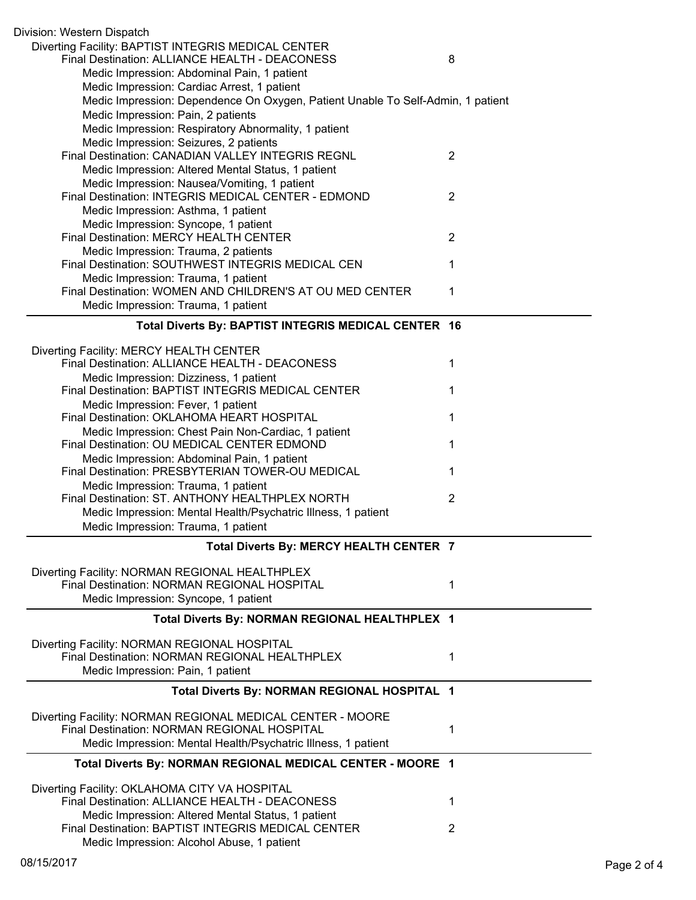| Division: Western Dispatch                                                                                |                |
|-----------------------------------------------------------------------------------------------------------|----------------|
| Diverting Facility: BAPTIST INTEGRIS MEDICAL CENTER<br>Final Destination: ALLIANCE HEALTH - DEACONESS     | 8              |
| Medic Impression: Abdominal Pain, 1 patient                                                               |                |
| Medic Impression: Cardiac Arrest, 1 patient                                                               |                |
| Medic Impression: Dependence On Oxygen, Patient Unable To Self-Admin, 1 patient                           |                |
| Medic Impression: Pain, 2 patients                                                                        |                |
| Medic Impression: Respiratory Abnormality, 1 patient                                                      |                |
| Medic Impression: Seizures, 2 patients                                                                    |                |
| Final Destination: CANADIAN VALLEY INTEGRIS REGNL                                                         | $\overline{2}$ |
| Medic Impression: Altered Mental Status, 1 patient                                                        |                |
| Medic Impression: Nausea/Vomiting, 1 patient                                                              |                |
| Final Destination: INTEGRIS MEDICAL CENTER - EDMOND                                                       | 2              |
| Medic Impression: Asthma, 1 patient                                                                       |                |
| Medic Impression: Syncope, 1 patient<br>Final Destination: MERCY HEALTH CENTER                            |                |
| Medic Impression: Trauma, 2 patients                                                                      | $\overline{2}$ |
| Final Destination: SOUTHWEST INTEGRIS MEDICAL CEN                                                         | 1              |
| Medic Impression: Trauma, 1 patient                                                                       |                |
| Final Destination: WOMEN AND CHILDREN'S AT OU MED CENTER                                                  | 1              |
| Medic Impression: Trauma, 1 patient                                                                       |                |
|                                                                                                           |                |
| Total Diverts By: BAPTIST INTEGRIS MEDICAL CENTER 16                                                      |                |
| Diverting Facility: MERCY HEALTH CENTER                                                                   |                |
| Final Destination: ALLIANCE HEALTH - DEACONESS                                                            | 1              |
| Medic Impression: Dizziness, 1 patient                                                                    |                |
| Final Destination: BAPTIST INTEGRIS MEDICAL CENTER                                                        | 1              |
| Medic Impression: Fever, 1 patient                                                                        |                |
| Final Destination: OKLAHOMA HEART HOSPITAL                                                                | 1              |
| Medic Impression: Chest Pain Non-Cardiac, 1 patient<br>Final Destination: OU MEDICAL CENTER EDMOND        | 1              |
| Medic Impression: Abdominal Pain, 1 patient                                                               |                |
| Final Destination: PRESBYTERIAN TOWER-OU MEDICAL                                                          | 1              |
| Medic Impression: Trauma, 1 patient                                                                       |                |
| Final Destination: ST. ANTHONY HEALTHPLEX NORTH                                                           | $\overline{2}$ |
| Medic Impression: Mental Health/Psychatric Illness, 1 patient                                             |                |
| Medic Impression: Trauma, 1 patient                                                                       |                |
| Total Diverts By: MERCY HEALTH CENTER 7                                                                   |                |
|                                                                                                           |                |
| Diverting Facility: NORMAN REGIONAL HEALTHPLEX<br>Final Destination: NORMAN REGIONAL HOSPITAL             | 1              |
| Medic Impression: Syncope, 1 patient                                                                      |                |
|                                                                                                           |                |
| Total Diverts By: NORMAN REGIONAL HEALTHPLEX 1                                                            |                |
| Diverting Facility: NORMAN REGIONAL HOSPITAL                                                              |                |
| Final Destination: NORMAN REGIONAL HEALTHPLEX                                                             | 1              |
| Medic Impression: Pain, 1 patient                                                                         |                |
| Total Diverts By: NORMAN REGIONAL HOSPITAL 1                                                              |                |
|                                                                                                           |                |
| Diverting Facility: NORMAN REGIONAL MEDICAL CENTER - MOORE<br>Final Destination: NORMAN REGIONAL HOSPITAL |                |
| Medic Impression: Mental Health/Psychatric Illness, 1 patient                                             | 1              |
|                                                                                                           |                |
| Total Diverts By: NORMAN REGIONAL MEDICAL CENTER - MOORE 1                                                |                |
| Diverting Facility: OKLAHOMA CITY VA HOSPITAL                                                             |                |
| Final Destination: ALLIANCE HEALTH - DEACONESS                                                            | 1              |
| Medic Impression: Altered Mental Status, 1 patient                                                        |                |
| Final Destination: BAPTIST INTEGRIS MEDICAL CENTER                                                        | 2              |
| Medic Impression: Alcohol Abuse, 1 patient                                                                |                |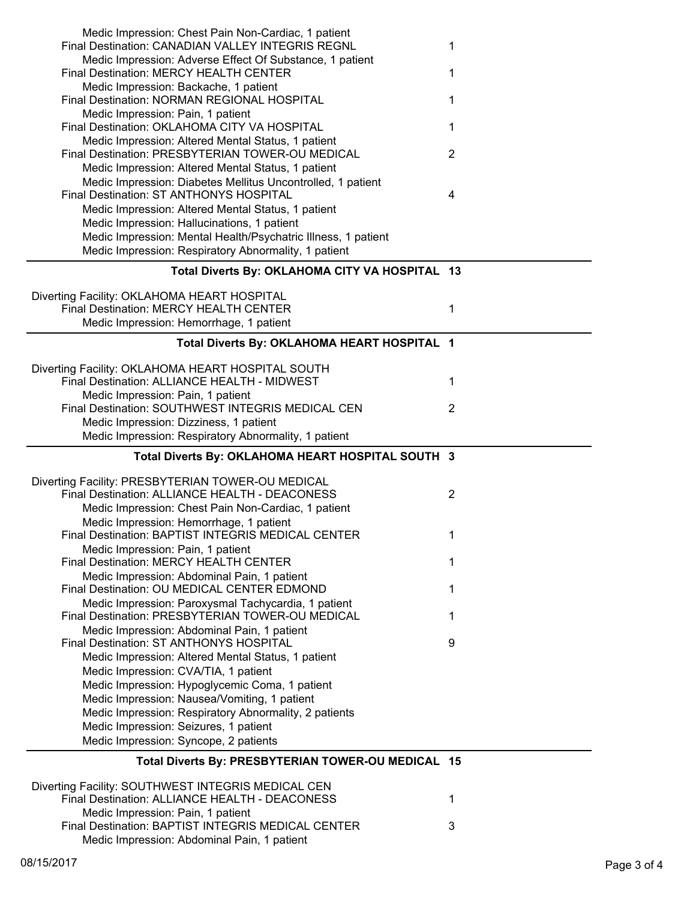| Medic Impression: Chest Pain Non-Cardiac, 1 patient                                                    |                |
|--------------------------------------------------------------------------------------------------------|----------------|
| Final Destination: CANADIAN VALLEY INTEGRIS REGNL                                                      | 1              |
| Medic Impression: Adverse Effect Of Substance, 1 patient<br>Final Destination: MERCY HEALTH CENTER     | 1              |
| Medic Impression: Backache, 1 patient                                                                  |                |
| Final Destination: NORMAN REGIONAL HOSPITAL                                                            | 1              |
| Medic Impression: Pain, 1 patient<br>Final Destination: OKLAHOMA CITY VA HOSPITAL                      | 1              |
| Medic Impression: Altered Mental Status, 1 patient                                                     |                |
| Final Destination: PRESBYTERIAN TOWER-OU MEDICAL                                                       | $\overline{2}$ |
| Medic Impression: Altered Mental Status, 1 patient                                                     |                |
| Medic Impression: Diabetes Mellitus Uncontrolled, 1 patient<br>Final Destination: ST ANTHONYS HOSPITAL | 4              |
| Medic Impression: Altered Mental Status, 1 patient                                                     |                |
| Medic Impression: Hallucinations, 1 patient                                                            |                |
| Medic Impression: Mental Health/Psychatric Illness, 1 patient                                          |                |
| Medic Impression: Respiratory Abnormality, 1 patient                                                   |                |
| Total Diverts By: OKLAHOMA CITY VA HOSPITAL 13                                                         |                |
| Diverting Facility: OKLAHOMA HEART HOSPITAL                                                            |                |
| Final Destination: MERCY HEALTH CENTER                                                                 | 1              |
| Medic Impression: Hemorrhage, 1 patient                                                                |                |
| Total Diverts By: OKLAHOMA HEART HOSPITAL 1                                                            |                |
|                                                                                                        |                |
| Diverting Facility: OKLAHOMA HEART HOSPITAL SOUTH<br>Final Destination: ALLIANCE HEALTH - MIDWEST      | 1              |
| Medic Impression: Pain, 1 patient                                                                      |                |
| Final Destination: SOUTHWEST INTEGRIS MEDICAL CEN                                                      | 2              |
| Medic Impression: Dizziness, 1 patient                                                                 |                |
| Medic Impression: Respiratory Abnormality, 1 patient                                                   |                |
|                                                                                                        |                |
| Total Diverts By: OKLAHOMA HEART HOSPITAL SOUTH 3                                                      |                |
| Diverting Facility: PRESBYTERIAN TOWER-OU MEDICAL                                                      |                |
| Final Destination: ALLIANCE HEALTH - DEACONESS                                                         | $\overline{2}$ |
| Medic Impression: Chest Pain Non-Cardiac, 1 patient                                                    |                |
| Medic Impression: Hemorrhage, 1 patient                                                                |                |
| Final Destination: BAPTIST INTEGRIS MEDICAL CENTER                                                     | 1              |
| Medic Impression: Pain, 1 patient                                                                      |                |
| Final Destination: MERCY HEALTH CENTER                                                                 | 1              |
| Medic Impression: Abdominal Pain, 1 patient<br>Final Destination: OU MEDICAL CENTER EDMOND             | 1              |
| Medic Impression: Paroxysmal Tachycardia, 1 patient                                                    |                |
| Final Destination: PRESBYTERIAN TOWER-OU MEDICAL                                                       | 1              |
| Medic Impression: Abdominal Pain, 1 patient<br>Final Destination: ST ANTHONYS HOSPITAL                 | 9              |
| Medic Impression: Altered Mental Status, 1 patient                                                     |                |
| Medic Impression: CVA/TIA, 1 patient                                                                   |                |
| Medic Impression: Hypoglycemic Coma, 1 patient                                                         |                |
| Medic Impression: Nausea/Vomiting, 1 patient                                                           |                |
| Medic Impression: Respiratory Abnormality, 2 patients                                                  |                |
| Medic Impression: Seizures, 1 patient                                                                  |                |
| Medic Impression: Syncope, 2 patients                                                                  |                |
| Total Diverts By: PRESBYTERIAN TOWER-OU MEDICAL 15                                                     |                |
| Diverting Facility: SOUTHWEST INTEGRIS MEDICAL CEN                                                     |                |
| Final Destination: ALLIANCE HEALTH - DEACONESS                                                         | 1              |
| Medic Impression: Pain, 1 patient<br>Final Destination: BAPTIST INTEGRIS MEDICAL CENTER                | 3              |